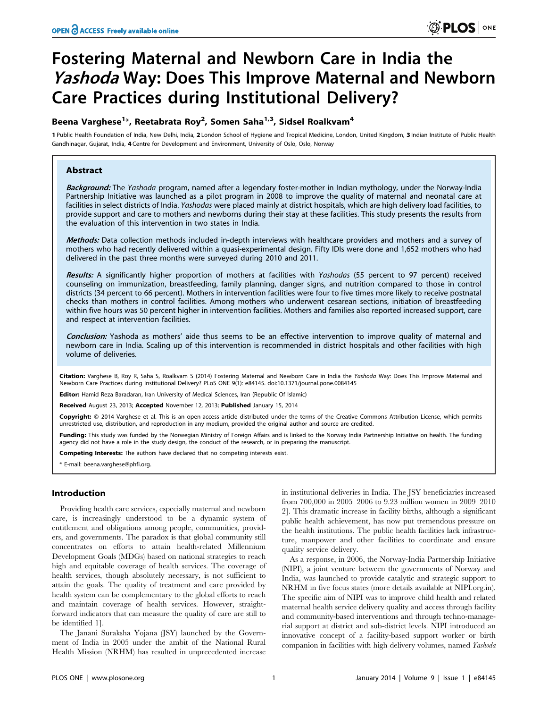# Fostering Maternal and Newborn Care in India the Yashoda Way: Does This Improve Maternal and Newborn Care Practices during Institutional Delivery?

## Beena Varghese<sup>1</sup>\*, Reetabrata Roy<sup>2</sup>, Somen Saha<sup>1,3</sup>, Sidsel Roalkvam<sup>4</sup>

1 Public Health Foundation of India, New Delhi, India, 2 London School of Hygiene and Tropical Medicine, London, United Kingdom, 3 Indian Institute of Public Health Gandhinagar, Gujarat, India, 4 Centre for Development and Environment, University of Oslo, Oslo, Norway

### Abstract

Background: The Yashoda program, named after a legendary foster-mother in Indian mythology, under the Norway-India Partnership Initiative was launched as a pilot program in 2008 to improve the quality of maternal and neonatal care at facilities in select districts of India. Yashodas were placed mainly at district hospitals, which are high delivery load facilities, to provide support and care to mothers and newborns during their stay at these facilities. This study presents the results from the evaluation of this intervention in two states in India.

Methods: Data collection methods included in-depth interviews with healthcare providers and mothers and a survey of mothers who had recently delivered within a quasi-experimental design. Fifty IDIs were done and 1,652 mothers who had delivered in the past three months were surveyed during 2010 and 2011.

Results: A significantly higher proportion of mothers at facilities with Yashodas (55 percent to 97 percent) received counseling on immunization, breastfeeding, family planning, danger signs, and nutrition compared to those in control districts (34 percent to 66 percent). Mothers in intervention facilities were four to five times more likely to receive postnatal checks than mothers in control facilities. Among mothers who underwent cesarean sections, initiation of breastfeeding within five hours was 50 percent higher in intervention facilities. Mothers and families also reported increased support, care and respect at intervention facilities.

Conclusion: Yashoda as mothers' aide thus seems to be an effective intervention to improve quality of maternal and newborn care in India. Scaling up of this intervention is recommended in district hospitals and other facilities with high volume of deliveries.

Citation: Varghese B, Roy R, Saha S, Roalkvam S (2014) Fostering Maternal and Newborn Care in India the Yashoda Way: Does This Improve Maternal and Newborn Care Practices during Institutional Delivery? PLoS ONE 9(1): e84145. doi:10.1371/journal.pone.0084145

**Editor:** Hamid Reza Baradaran, Iran University of Medical Sciences, Iran (Republic Of Islamic)

Received August 23, 2013; Accepted November 12, 2013; Published January 15, 2014

Copyright: © 2014 Varghese et al. This is an open-access article distributed under the terms of the Creative Commons Attribution License, which permits unrestricted use, distribution, and reproduction in any medium, provided the original author and source are credited.

Funding: This study was funded by the Norwegian Ministry of Foreign Affairs and is linked to the Norway India Partnership Initiative on health. The funding agency did not have a role in the study design, the conduct of the research, or in preparing the manuscript.

Competing Interests: The authors have declared that no competing interests exist.

\* E-mail: beena.varghese@phfi.org.

## Introduction

Providing health care services, especially maternal and newborn care, is increasingly understood to be a dynamic system of entitlement and obligations among people, communities, providers, and governments. The paradox is that global community still concentrates on efforts to attain health-related Millennium Development Goals (MDGs) based on national strategies to reach high and equitable coverage of health services. The coverage of health services, though absolutely necessary, is not sufficient to attain the goals. The quality of treatment and care provided by health system can be complementary to the global efforts to reach and maintain coverage of health services. However, straightforward indicators that can measure the quality of care are still to be identified 1].

The Janani Suraksha Yojana (JSY) launched by the Government of India in 2005 under the ambit of the National Rural Health Mission (NRHM) has resulted in unprecedented increase

in institutional deliveries in India. The JSY beneficiaries increased from 700,000 in 2005–2006 to 9.23 million women in 2009–2010 2]. This dramatic increase in facility births, although a significant public health achievement, has now put tremendous pressure on the health institutions. The public health facilities lack infrastructure, manpower and other facilities to coordinate and ensure quality service delivery.

As a response, in 2006, the Norway-India Partnership Initiative (NIPI), a joint venture between the governments of Norway and India, was launched to provide catalytic and strategic support to NRHM in five focus states (more details available at NIPI.org.in). The specific aim of NIPI was to improve child health and related maternal health service delivery quality and access through facility and community-based interventions and through techno-managerial support at district and sub-district levels. NIPI introduced an innovative concept of a facility-based support worker or birth companion in facilities with high delivery volumes, named Yashoda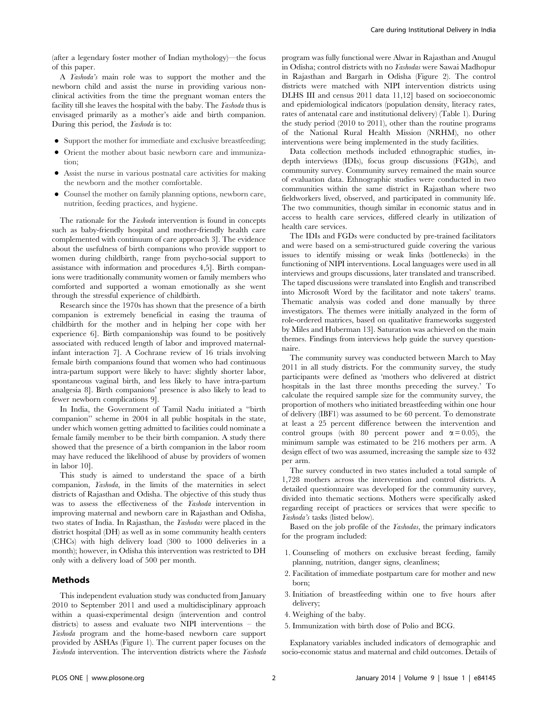A Yashoda's main role was to support the mother and the newborn child and assist the nurse in providing various nonclinical activities from the time the pregnant woman enters the facility till she leaves the hospital with the baby. The Yashoda thus is envisaged primarily as a mother's aide and birth companion. During this period, the Yashoda is to:

- Support the mother for immediate and exclusive breastfeeding;
- Orient the mother about basic newborn care and immunization;
- $\bullet$  Assist the nurse in various postnatal care activities for making the newborn and the mother comfortable.
- Counsel the mother on family planning options, newborn care, nutrition, feeding practices, and hygiene.

The rationale for the Yashoda intervention is found in concepts such as baby-friendly hospital and mother-friendly health care complemented with continuum of care approach 3]. The evidence about the usefulness of birth companions who provide support to women during childbirth, range from psycho-social support to assistance with information and procedures 4,5]. Birth companions were traditionally community women or family members who comforted and supported a woman emotionally as she went through the stressful experience of childbirth.

Research since the 1970s has shown that the presence of a birth companion is extremely beneficial in easing the trauma of childbirth for the mother and in helping her cope with her experience 6]. Birth companionship was found to be positively associated with reduced length of labor and improved maternalinfant interaction 7]. A Cochrane review of 16 trials involving female birth companions found that women who had continuous intra-partum support were likely to have: slightly shorter labor, spontaneous vaginal birth, and less likely to have intra-partum analgesia 8]. Birth companions' presence is also likely to lead to fewer newborn complications 9].

In India, the Government of Tamil Nadu initiated a ''birth companion'' scheme in 2004 in all public hospitals in the state, under which women getting admitted to facilities could nominate a female family member to be their birth companion. A study there showed that the presence of a birth companion in the labor room may have reduced the likelihood of abuse by providers of women in labor 10].

This study is aimed to understand the space of a birth companion, Yashoda, in the limits of the maternities in select districts of Rajasthan and Odisha. The objective of this study thus was to assess the effectiveness of the Yashoda intervention in improving maternal and newborn care in Rajasthan and Odisha, two states of India. In Rajasthan, the Yashodas were placed in the district hospital (DH) as well as in some community health centers (CHCs) with high delivery load (300 to 1000 deliveries in a month); however, in Odisha this intervention was restricted to DH only with a delivery load of 500 per month.

## Methods

This independent evaluation study was conducted from January 2010 to September 2011 and used a multidisciplinary approach within a quasi-experimental design (intervention and control districts) to assess and evaluate two NIPI interventions – the Yashoda program and the home-based newborn care support provided by ASHAs (Figure 1). The current paper focuses on the Yashoda intervention. The intervention districts where the Yashoda program was fully functional were Alwar in Rajasthan and Anugul in Odisha; control districts with no Yashodas were Sawai Madhopur in Rajasthan and Bargarh in Odisha (Figure 2). The control districts were matched with NIPI intervention districts using DLHS III and census 2011 data 11,12] based on socioeconomic and epidemiological indicators (population density, literacy rates, rates of antenatal care and institutional delivery) (Table 1). During the study period (2010 to 2011), other than the routine programs of the National Rural Health Mission (NRHM), no other interventions were being implemented in the study facilities.

Data collection methods included ethnographic studies, indepth interviews (IDIs), focus group discussions (FGDs), and community survey. Community survey remained the main source of evaluation data. Ethnographic studies were conducted in two communities within the same district in Rajasthan where two fieldworkers lived, observed, and participated in community life. The two communities, though similar in economic status and in access to health care services, differed clearly in utilization of health care services.

The IDIs and FGDs were conducted by pre-trained facilitators and were based on a semi-structured guide covering the various issues to identify missing or weak links (bottlenecks) in the functioning of NIPI interventions. Local languages were used in all interviews and groups discussions, later translated and transcribed. The taped discussions were translated into English and transcribed into Microsoft Word by the facilitator and note takers' teams. Thematic analysis was coded and done manually by three investigators. The themes were initially analyzed in the form of role-ordered matrices, based on qualitative frameworks suggested by Miles and Huberman 13]. Saturation was achieved on the main themes. Findings from interviews help guide the survey questionnaire.

The community survey was conducted between March to May 2011 in all study districts. For the community survey, the study participants were defined as 'mothers who delivered at district hospitals in the last three months preceding the survey.' To calculate the required sample size for the community survey, the proportion of mothers who initiated breastfeeding within one hour of delivery (IBF1) was assumed to be 60 percent. To demonstrate at least a 25 percent difference between the intervention and control groups (with 80 percent power and  $\alpha = 0.05$ ), the minimum sample was estimated to be 216 mothers per arm. A design effect of two was assumed, increasing the sample size to 432 per arm.

The survey conducted in two states included a total sample of 1,728 mothers across the intervention and control districts. A detailed questionnaire was developed for the community survey, divided into thematic sections. Mothers were specifically asked regarding receipt of practices or services that were specific to Yashoda's tasks (listed below).

Based on the job profile of the Yashodas, the primary indicators for the program included:

- 1. Counseling of mothers on exclusive breast feeding, family planning, nutrition, danger signs, cleanliness;
- 2. Facilitation of immediate postpartum care for mother and new born;
- 3. Initiation of breastfeeding within one to five hours after delivery;
- 4. Weighing of the baby.
- 5. Immunization with birth dose of Polio and BCG.

Explanatory variables included indicators of demographic and socio-economic status and maternal and child outcomes. Details of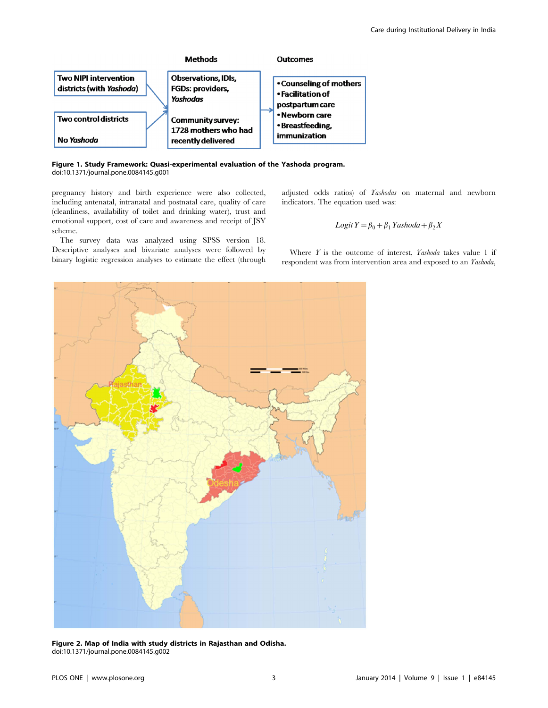

Figure 1. Study Framework: Quasi-experimental evaluation of the Yashoda program. doi:10.1371/journal.pone.0084145.g001

pregnancy history and birth experience were also collected, including antenatal, intranatal and postnatal care, quality of care (cleanliness, availability of toilet and drinking water), trust and emotional support, cost of care and awareness and receipt of JSY scheme.

The survey data was analyzed using SPSS version 18. Descriptive analyses and bivariate analyses were followed by binary logistic regression analyses to estimate the effect (through adjusted odds ratios) of Yashodas on maternal and newborn indicators. The equation used was:

$$
Logit Y = \beta_0 + \beta_1 Yashoda + \beta_2 X
$$

Where  $\gamma$  is the outcome of interest, Yashoda takes value 1 if respondent was from intervention area and exposed to an Yashoda,



Figure 2. Map of India with study districts in Rajasthan and Odisha. doi:10.1371/journal.pone.0084145.g002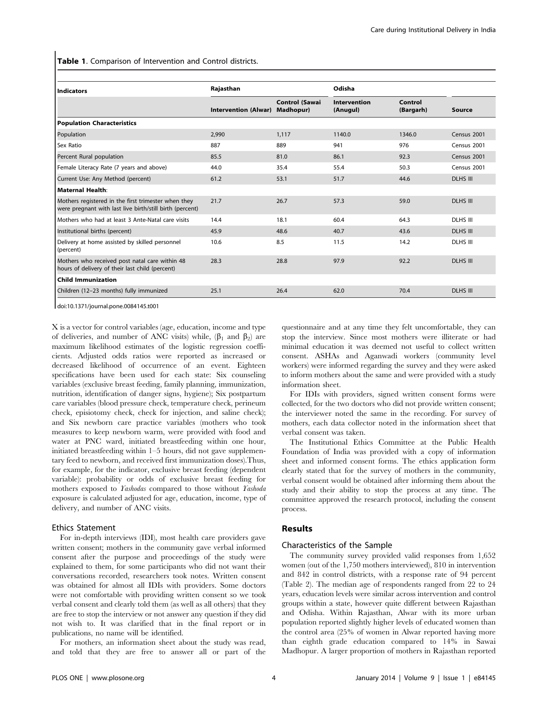Table 1. Comparison of Intervention and Control districts.

| <b>Indicators</b>                                                                                               | Rajasthan                   |                                           | Odisha                          |                      |                 |  |
|-----------------------------------------------------------------------------------------------------------------|-----------------------------|-------------------------------------------|---------------------------------|----------------------|-----------------|--|
|                                                                                                                 | <b>Intervention (Alwar)</b> | <b>Control (Sawai</b><br><b>Madhopur)</b> | <b>Intervention</b><br>(Anugul) | Control<br>(Bargarh) | Source          |  |
| <b>Population Characteristics</b>                                                                               |                             |                                           |                                 |                      |                 |  |
| Population                                                                                                      | 2,990                       | 1.117                                     | 1140.0                          | 1346.0               | Census 2001     |  |
| <b>Sex Ratio</b>                                                                                                | 887                         | 889                                       | 941                             | 976                  | Census 2001     |  |
| Percent Rural population                                                                                        | 85.5                        | 81.0                                      | 86.1                            | 92.3                 | Census 2001     |  |
| Female Literacy Rate (7 years and above)                                                                        | 44.0                        | 35.4                                      | 55.4                            | 50.3                 | Census 2001     |  |
| Current Use: Any Method (percent)                                                                               | 61.2                        | 53.1                                      | 51.7                            | 44.6                 | <b>DLHS III</b> |  |
| Maternal Health:                                                                                                |                             |                                           |                                 |                      |                 |  |
| Mothers registered in the first trimester when they<br>were pregnant with last live birth/still birth (percent) | 21.7                        | 26.7                                      | 57.3                            | 59.0                 | <b>DLHS III</b> |  |
| Mothers who had at least 3 Ante-Natal care visits                                                               | 14.4                        | 18.1                                      | 60.4                            | 64.3                 | <b>DLHS III</b> |  |
| Institutional births (percent)                                                                                  | 45.9                        | 48.6                                      | 40.7                            | 43.6                 | <b>DLHS III</b> |  |
| Delivery at home assisted by skilled personnel<br>(percent)                                                     | 10.6                        | 8.5                                       | 11.5                            | 14.2                 | <b>DLHS III</b> |  |
| Mothers who received post natal care within 48<br>hours of delivery of their last child (percent)               | 28.3                        | 28.8                                      | 97.9                            | 92.2                 | <b>DLHS III</b> |  |
| <b>Child Immunization</b>                                                                                       |                             |                                           |                                 |                      |                 |  |
| Children (12-23 months) fully immunized                                                                         | 25.1                        | 26.4                                      | 62.0                            | 70.4                 | <b>DLHS III</b> |  |

doi:10.1371/journal.pone.0084145.t001

X is a vector for control variables (age, education, income and type of deliveries, and number of ANC visits) while,  $(\beta_1 \text{ and } \beta_2)$  are maximum likelihood estimates of the logistic regression coefficients. Adjusted odds ratios were reported as increased or decreased likelihood of occurrence of an event. Eighteen specifications have been used for each state: Six counseling variables (exclusive breast feeding, family planning, immunization, nutrition, identification of danger signs, hygiene); Six postpartum care variables (blood pressure check, temperature check, perineum check, episiotomy check, check for injection, and saline check); and Six newborn care practice variables (mothers who took measures to keep newborn warm, were provided with food and water at PNC ward, initiated breastfeeding within one hour, initiated breastfeeding within 1–5 hours, did not gave supplementary feed to newborn, and received first immunization doses).Thus, for example, for the indicator, exclusive breast feeding (dependent variable): probability or odds of exclusive breast feeding for mothers exposed to Yashodas compared to those without Yashoda exposure is calculated adjusted for age, education, income, type of delivery, and number of ANC visits.

#### Ethics Statement

For in-depth interviews (IDI), most health care providers gave written consent; mothers in the community gave verbal informed consent after the purpose and proceedings of the study were explained to them, for some participants who did not want their conversations recorded, researchers took notes. Written consent was obtained for almost all IDIs with providers. Some doctors were not comfortable with providing written consent so we took verbal consent and clearly told them (as well as all others) that they are free to stop the interview or not answer any question if they did not wish to. It was clarified that in the final report or in publications, no name will be identified.

For mothers, an information sheet about the study was read, and told that they are free to answer all or part of the questionnaire and at any time they felt uncomfortable, they can stop the interview. Since most mothers were illiterate or had minimal education it was deemed not useful to collect written consent. ASHAs and Aganwadi workers (community level workers) were informed regarding the survey and they were asked to inform mothers about the same and were provided with a study information sheet.

For IDIs with providers, signed written consent forms were collected, for the two doctors who did not provide written consent; the interviewer noted the same in the recording. For survey of mothers, each data collector noted in the information sheet that verbal consent was taken.

The Institutional Ethics Committee at the Public Health Foundation of India was provided with a copy of information sheet and informed consent forms. The ethics application form clearly stated that for the survey of mothers in the community, verbal consent would be obtained after informing them about the study and their ability to stop the process at any time. The committee approved the research protocol, including the consent process.

## Results

## Characteristics of the Sample

The community survey provided valid responses from 1,652 women (out of the 1,750 mothers interviewed), 810 in intervention and 842 in control districts, with a response rate of 94 percent (Table 2). The median age of respondents ranged from 22 to 24 years, education levels were similar across intervention and control groups within a state, however quite different between Rajasthan and Odisha. Within Rajasthan, Alwar with its more urban population reported slightly higher levels of educated women than the control area (25% of women in Alwar reported having more than eighth grade education compared to 14% in Sawai Madhopur. A larger proportion of mothers in Rajasthan reported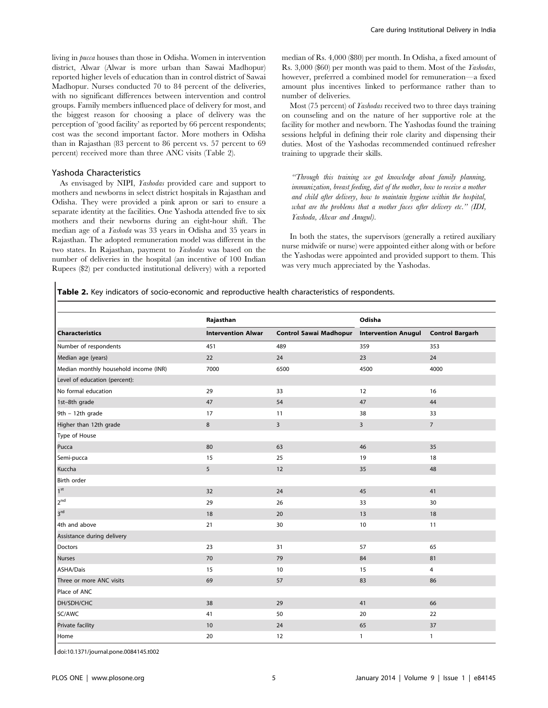living in pucca houses than those in Odisha. Women in intervention district, Alwar (Alwar is more urban than Sawai Madhopur) reported higher levels of education than in control district of Sawai Madhopur. Nurses conducted 70 to 84 percent of the deliveries, with no significant differences between intervention and control groups. Family members influenced place of delivery for most, and the biggest reason for choosing a place of delivery was the perception of 'good facility' as reported by 66 percent respondents; cost was the second important factor. More mothers in Odisha than in Rajasthan (83 percent to 86 percent vs. 57 percent to 69 percent) received more than three ANC visits (Table 2).

## Yashoda Characteristics

As envisaged by NIPI, Yashodas provided care and support to mothers and newborns in select district hospitals in Rajasthan and Odisha. They were provided a pink apron or sari to ensure a separate identity at the facilities. One Yashoda attended five to six mothers and their newborns during an eight-hour shift. The median age of a Yashoda was 33 years in Odisha and 35 years in Rajasthan. The adopted remuneration model was different in the two states. In Rajasthan, payment to Yashodas was based on the number of deliveries in the hospital (an incentive of 100 Indian Rupees (\$2) per conducted institutional delivery) with a reported median of Rs. 4,000 (\$80) per month. In Odisha, a fixed amount of Rs. 3,000 (\$60) per month was paid to them. Most of the Yashodas, however, preferred a combined model for remuneration—a fixed amount plus incentives linked to performance rather than to number of deliveries.

Most (75 percent) of Yashodas received two to three days training on counseling and on the nature of her supportive role at the facility for mother and newborn. The Yashodas found the training sessions helpful in defining their role clarity and dispensing their duties. Most of the Yashodas recommended continued refresher training to upgrade their skills.

''Through this training we got knowledge about family planning, immunization, breast feeding, diet of the mother, how to receive a mother and child after delivery, how to maintain hygiene within the hospital, what are the problems that a mother faces after delivery etc." (IDI, Yashoda, Alwar and Anugul).

In both the states, the supervisors (generally a retired auxiliary nurse midwife or nurse) were appointed either along with or before the Yashodas were appointed and provided support to them. This was very much appreciated by the Yashodas.

Table 2. Key indicators of socio-economic and reproductive health characteristics of respondents.

|                                       | Rajasthan                 |                               | Odisha                     |                        |  |
|---------------------------------------|---------------------------|-------------------------------|----------------------------|------------------------|--|
| <b>Characteristics</b>                | <b>Intervention Alwar</b> | <b>Control Sawai Madhopur</b> | <b>Intervention Anugul</b> | <b>Control Bargarh</b> |  |
| Number of respondents                 | 451                       | 489                           | 359                        | 353                    |  |
| Median age (years)                    | 22                        | 24                            | 23                         | 24                     |  |
| Median monthly household income (INR) | 7000                      | 6500                          | 4500                       | 4000                   |  |
| Level of education (percent):         |                           |                               |                            |                        |  |
| No formal education                   | 29                        | 33                            | 12                         | 16                     |  |
| 1st-8th grade                         | 47                        | 54                            | 47                         | 44                     |  |
| 9th - 12th grade                      | 17                        | 11                            | 38                         | 33                     |  |
| Higher than 12th grade                | 8                         | $\overline{3}$                | $\overline{3}$             | $\overline{7}$         |  |
| Type of House                         |                           |                               |                            |                        |  |
| Pucca                                 | 80                        | 63                            | 46                         | 35                     |  |
| Semi-pucca                            | 15                        | 25                            | 19                         | 18                     |  |
| Kuccha                                | 5                         | 12                            | 35                         | 48                     |  |
| Birth order                           |                           |                               |                            |                        |  |
| 1 <sup>st</sup>                       | 32                        | 24                            | 45                         | 41                     |  |
| $2^{nd}$                              | 29                        | 26                            | 33                         | 30                     |  |
| 3 <sup>rd</sup>                       | 18                        | 20                            | 13                         | 18                     |  |
| 4th and above                         | 21                        | 30                            | 10                         | 11                     |  |
| Assistance during delivery            |                           |                               |                            |                        |  |
| <b>Doctors</b>                        | 23                        | 31                            | 57                         | 65                     |  |
| <b>Nurses</b>                         | 70                        | 79                            | 84                         | 81                     |  |
| ASHA/Dais                             | 15                        | 10                            | 15                         | $\overline{4}$         |  |
| Three or more ANC visits              | 69                        | 57                            | 83                         | 86                     |  |
| Place of ANC                          |                           |                               |                            |                        |  |
| DH/SDH/CHC                            | 38                        | 29                            | 41                         | 66                     |  |
| SC/AWC                                | 41                        | 50                            | 20                         | 22                     |  |
| Private facility                      | 10                        | 24                            | 65                         | 37                     |  |
| Home                                  | 20                        | 12                            | $\mathbf{1}$               | $\mathbf{1}$           |  |

doi:10.1371/journal.pone.0084145.t002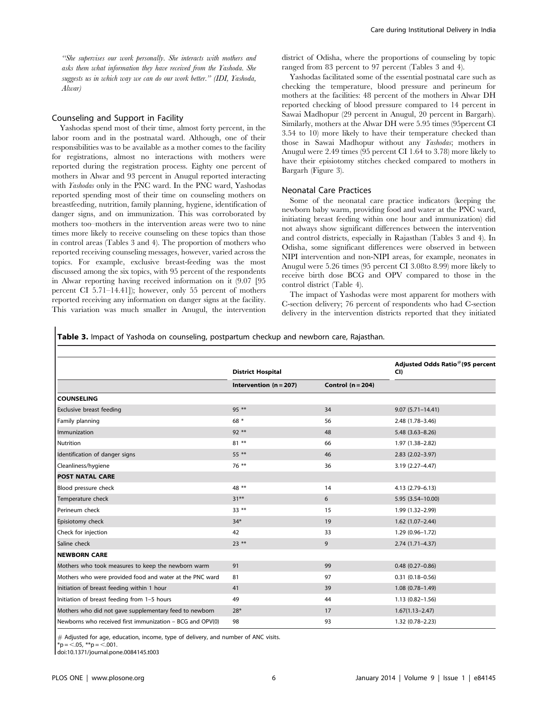''She supervises our work personally. She interacts with mothers and asks them what information they have received from the Yashoda. She suggests us in which way we can do our work better." (IDI, Yashoda, Alwar)

#### Counseling and Support in Facility

Yashodas spend most of their time, almost forty percent, in the labor room and in the postnatal ward. Although, one of their responsibilities was to be available as a mother comes to the facility for registrations, almost no interactions with mothers were reported during the registration process. Eighty one percent of mothers in Alwar and 93 percent in Anugul reported interacting with Yashodas only in the PNC ward. In the PNC ward, Yashodas reported spending most of their time on counseling mothers on breastfeeding, nutrition, family planning, hygiene, identification of danger signs, and on immunization. This was corroborated by mothers too–mothers in the intervention areas were two to nine times more likely to receive counseling on these topics than those in control areas (Tables 3 and 4). The proportion of mothers who reported receiving counseling messages, however, varied across the topics. For example, exclusive breast-feeding was the most discussed among the six topics, with 95 percent of the respondents in Alwar reporting having received information on it (9.07 [95 percent CI 5.71–14.41]); however, only 55 percent of mothers reported receiving any information on danger signs at the facility. This variation was much smaller in Anugul, the intervention district of Odisha, where the proportions of counseling by topic ranged from 83 percent to 97 percent (Tables 3 and 4).

Yashodas facilitated some of the essential postnatal care such as checking the temperature, blood pressure and perineum for mothers at the facilities: 48 percent of the mothers in Alwar DH reported checking of blood pressure compared to 14 percent in Sawai Madhopur (29 percent in Anugul, 20 percent in Bargarh). Similarly, mothers at the Alwar DH were 5.95 times (95percent CI 3.54 to 10) more likely to have their temperature checked than those in Sawai Madhopur without any Yashodas; mothers in Anugul were 2.49 times (95 percent CI 1.64 to 3.78) more likely to have their episiotomy stitches checked compared to mothers in Bargarh (Figure 3).

#### Neonatal Care Practices

Some of the neonatal care practice indicators (keeping the newborn baby warm, providing food and water at the PNC ward, initiating breast feeding within one hour and immunization) did not always show significant differences between the intervention and control districts, especially in Rajasthan (Tables 3 and 4). In Odisha, some significant differences were observed in between NIPI intervention and non-NIPI areas, for example, neonates in Anugul were 5.26 times (95 percent CI 3.08to 8.99) more likely to receive birth dose BCG and OPV compared to those in the control district (Table 4).

The impact of Yashodas were most apparent for mothers with C-section delivery; 76 percent of respondents who had C-section delivery in the intervention districts reported that they initiated

Table 3. Impact of Yashoda on counseling, postpartum checkup and newborn care, Rajasthan.

|                                                           | <b>District Hospital</b> |                       | Adjusted Odds Ratio#(95 percent<br>CI) |  |
|-----------------------------------------------------------|--------------------------|-----------------------|----------------------------------------|--|
|                                                           | Intervention $(n = 207)$ | Control ( $n = 204$ ) |                                        |  |
| <b>COUNSELING</b>                                         |                          |                       |                                        |  |
| <b>Exclusive breast feeding</b>                           | $95***$                  | 34                    | $9.07(5.71 - 14.41)$                   |  |
| Family planning                                           | $68*$                    | 56                    | $2.48(1.78 - 3.46)$                    |  |
| Immunization                                              | $92**$                   | 48                    | $5.48(3.63 - 8.26)$                    |  |
| Nutrition                                                 | $81**$                   | 66                    | $1.97(1.38 - 2.82)$                    |  |
| Identification of danger signs                            | $55***$                  | 46                    | $2.83$ $(2.02 - 3.97)$                 |  |
| Cleanliness/hygiene                                       | $76***$                  | 36                    | $3.19(2.27 - 4.47)$                    |  |
| <b>POST NATAL CARE</b>                                    |                          |                       |                                        |  |
| Blood pressure check                                      | 48 **                    | 14                    | 4.13 (2.79-6.13)                       |  |
| Temperature check                                         | $31**$                   | 6                     | 5.95 (3.54-10.00)                      |  |
| Perineum check                                            | $33***$                  | 15                    | 1.99 (1.32-2.99)                       |  |
| Episiotomy check                                          | $34*$                    | 19                    | $1.62$ $(1.07 - 2.44)$                 |  |
| Check for injection                                       | 42                       | 33                    | $1.29(0.96 - 1.72)$                    |  |
| Saline check                                              | $23$ **                  | 9                     | $2.74(1.71 - 4.37)$                    |  |
| <b>NEWBORN CARE</b>                                       |                          |                       |                                        |  |
| Mothers who took measures to keep the newborn warm        | 91                       | 99                    | $0.48$ $(0.27 - 0.86)$                 |  |
| Mothers who were provided food and water at the PNC ward  | 81                       | 97                    | $0.31(0.18 - 0.56)$                    |  |
| Initiation of breast feeding within 1 hour                | 41                       | 39                    | $1.08(0.78 - 1.49)$                    |  |
| Initiation of breast feeding from 1-5 hours               | 49                       | 44                    | $1.13(0.82 - 1.56)$                    |  |
| Mothers who did not gave supplementary feed to newborn    | $28*$                    | 17                    | $1.67(1.13 - 2.47)$                    |  |
| Newborns who received first immunization - BCG and OPV(0) | 98                       | 93                    | $1.32(0.78 - 2.23)$                    |  |

 $#$  Adjusted for age, education, income, type of delivery, and number of ANC visits.

 $\bar{p} = 5.05$ , \*\*p =  $5.001$ .

doi:10.1371/journal.pone.0084145.t003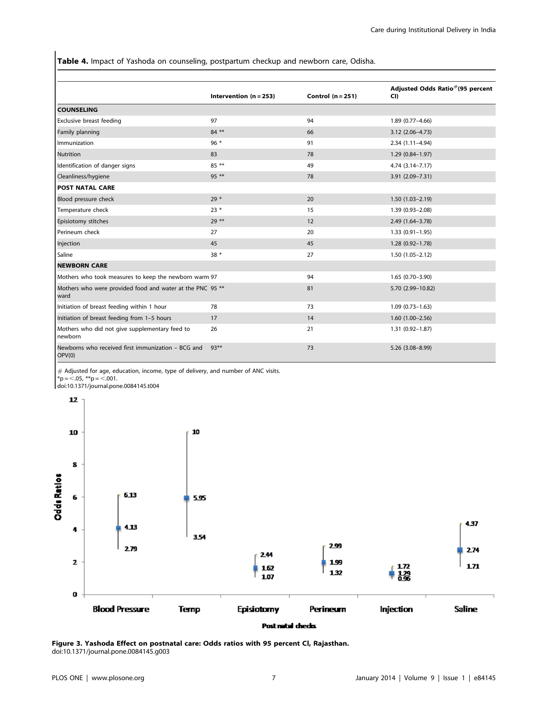Table 4. Impact of Yashoda on counseling, postpartum checkup and newborn care, Odisha.

|                                                                   | Intervention $(n = 253)$ | Control $(n = 251)$ | Adjusted Odds Ratio#(95 percent<br>CI) |
|-------------------------------------------------------------------|--------------------------|---------------------|----------------------------------------|
| <b>COUNSELING</b>                                                 |                          |                     |                                        |
| <b>Exclusive breast feeding</b>                                   | 97                       | 94                  | 1.89 (0.77-4.66)                       |
| Family planning                                                   | $84$ **                  | 66                  | 3.12 (2.06-4.73)                       |
| Immunization                                                      | $96*$                    | 91                  | $2.34(1.11 - 4.94)$                    |
| Nutrition                                                         | 83                       | 78                  | $1.29(0.84 - 1.97)$                    |
| Identification of danger signs                                    | $85***$                  | 49                  | 4.74 (3.14-7.17)                       |
| Cleanliness/hygiene                                               | $95***$                  | 78                  | 3.91 (2.09-7.31)                       |
| <b>POST NATAL CARE</b>                                            |                          |                     |                                        |
| Blood pressure check                                              | $29 *$                   | 20                  | $1.50(1.03 - 2.19)$                    |
| Temperature check                                                 | $23 *$                   | 15                  | 1.39 (0.93-2.08)                       |
| Episiotomy stitches                                               | $29***$                  | 12                  | 2.49 (1.64-3.78)                       |
| Perineum check                                                    | 27                       | 20                  | $1.33(0.91 - 1.95)$                    |
| Injection                                                         | 45                       | 45                  | $1.28(0.92 - 1.78)$                    |
| Saline                                                            | $38 *$                   | 27                  | $1.50(1.05 - 2.12)$                    |
| <b>NEWBORN CARE</b>                                               |                          |                     |                                        |
| Mothers who took measures to keep the newborn warm 97             |                          | 94                  | $1.65(0.70-3.90)$                      |
| Mothers who were provided food and water at the PNC 95 **<br>ward |                          | 81                  | 5.70 (2.99-10.82)                      |
| Initiation of breast feeding within 1 hour                        | 78                       | 73                  | $1.09(0.73 - 1.63)$                    |
| Initiation of breast feeding from 1-5 hours                       | 17                       | 14                  | $1.60(1.00-2.56)$                      |
| Mothers who did not give supplementary feed to<br>I newborn       | 26                       | 21                  | 1.31 (0.92-1.87)                       |
| Newborns who received first immunization - BCG and<br>OPV(0)      | $93***$                  | 73                  | 5.26 (3.08-8.99)                       |

 $\#$  Adjusted for age, education, income, type of delivery, and number of ANC visits.

 $^{\ast}$ p =  $<$ .05,  $^{\ast\ast}$ p =  $<$ .001.

doi:10.1371/journal.pone.0084145.t004



Figure 3. Yashoda Effect on postnatal care: Odds ratios with 95 percent Cl, Rajasthan. doi:10.1371/journal.pone.0084145.g003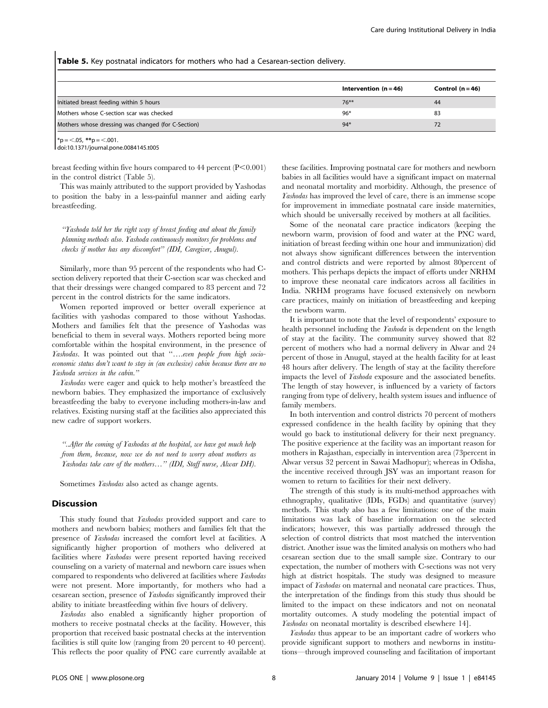Table 5. Key postnatal indicators for mothers who had a Cesarean-section delivery.

|                                                    | Intervention $(n = 46)$ | Control $(n = 46)$ |
|----------------------------------------------------|-------------------------|--------------------|
| Initiated breast feeding within 5 hours            | $76***$                 | 44                 |
| Mothers whose C-section scar was checked           | $96*$                   |                    |
| Mothers whose dressing was changed (for C-Section) | $94*$                   |                    |

 $***p** = <.05$ ,  $****p** = <.001$ .

doi:10.1371/journal.pone.0084145.t005

breast feeding within five hours compared to 44 percent  $(P<0.001)$ in the control district (Table 5).

This was mainly attributed to the support provided by Yashodas to position the baby in a less-painful manner and aiding early breastfeeding.

''Yashoda told her the right way of breast feeding and about the family planning methods also. Yashoda continuously monitors for problems and checks if mother has any discomfort'' (IDI, Caregiver, Anugul).

Similarly, more than 95 percent of the respondents who had Csection delivery reported that their C-section scar was checked and that their dressings were changed compared to 83 percent and 72 percent in the control districts for the same indicators.

Women reported improved or better overall experience at facilities with yashodas compared to those without Yashodas. Mothers and families felt that the presence of Yashodas was beneficial to them in several ways. Mothers reported being more comfortable within the hospital environment, in the presence of Yashodas. It was pointed out that "....even people from high socioeconomic status don't want to stay in (an exclusive) cabin because there are no Yashoda services in the cabin.''

Yashodas were eager and quick to help mother's breastfeed the newborn babies. They emphasized the importance of exclusively breastfeeding the baby to everyone including mothers-in-law and relatives. Existing nursing staff at the facilities also appreciated this new cadre of support workers.

''..After the coming of Yashodas at the hospital, we have got much help from them, because, now we do not need to worry about mothers as Yashodas take care of the mothers…'' (IDI, Staff nurse, Alwar DH).

Sometimes Yashodas also acted as change agents.

#### Discussion

This study found that Yashodas provided support and care to mothers and newborn babies; mothers and families felt that the presence of Yashodas increased the comfort level at facilities. A significantly higher proportion of mothers who delivered at facilities where Yashodas were present reported having received counseling on a variety of maternal and newborn care issues when compared to respondents who delivered at facilities where Yashodas were not present. More importantly, for mothers who had a cesarean section, presence of Yashodas significantly improved their ability to initiate breastfeeding within five hours of delivery.

Yashodas also enabled a significantly higher proportion of mothers to receive postnatal checks at the facility. However, this proportion that received basic postnatal checks at the intervention facilities is still quite low (ranging from 20 percent to 40 percent). This reflects the poor quality of PNC care currently available at these facilities. Improving postnatal care for mothers and newborn babies in all facilities would have a significant impact on maternal and neonatal mortality and morbidity. Although, the presence of Yashodas has improved the level of care, there is an immense scope for improvement in immediate postnatal care inside maternities, which should be universally received by mothers at all facilities.

Some of the neonatal care practice indicators (keeping the newborn warm, provision of food and water at the PNC ward, initiation of breast feeding within one hour and immunization) did not always show significant differences between the intervention and control districts and were reported by almost 80percent of mothers. This perhaps depicts the impact of efforts under NRHM to improve these neonatal care indicators across all facilities in India. NRHM programs have focused extensively on newborn care practices, mainly on initiation of breastfeeding and keeping the newborn warm.

It is important to note that the level of respondents' exposure to health personnel including the *Yashoda* is dependent on the length of stay at the facility. The community survey showed that 82 percent of mothers who had a normal delivery in Alwar and 24 percent of those in Anugul, stayed at the health facility for at least 48 hours after delivery. The length of stay at the facility therefore impacts the level of Yashoda exposure and the associated benefits. The length of stay however, is influenced by a variety of factors ranging from type of delivery, health system issues and influence of family members.

In both intervention and control districts 70 percent of mothers expressed confidence in the health facility by opining that they would go back to institutional delivery for their next pregnancy. The positive experience at the facility was an important reason for mothers in Rajasthan, especially in intervention area (73percent in Alwar versus 32 percent in Sawai Madhopur); whereas in Odisha, the incentive received through JSY was an important reason for women to return to facilities for their next delivery.

The strength of this study is its multi-method approaches with ethnography, qualitative (IDIs, FGDs) and quantitative (survey) methods. This study also has a few limitations: one of the main limitations was lack of baseline information on the selected indicators; however, this was partially addressed through the selection of control districts that most matched the intervention district. Another issue was the limited analysis on mothers who had cesarean section due to the small sample size. Contrary to our expectation, the number of mothers with C-sections was not very high at district hospitals. The study was designed to measure impact of Yashodas on maternal and neonatal care practices. Thus, the interpretation of the findings from this study thus should be limited to the impact on these indicators and not on neonatal mortality outcomes. A study modeling the potential impact of Yashodas on neonatal mortality is described elsewhere 14].

Yashodas thus appear to be an important cadre of workers who provide significant support to mothers and newborns in institutions—through improved counseling and facilitation of important